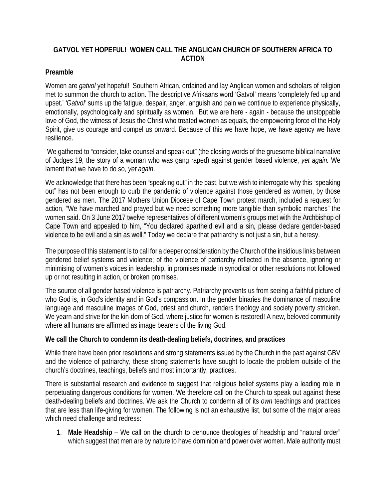# **GATVOL YET HOPEFUL! WOMEN CALL THE ANGLICAN CHURCH OF SOUTHERN AFRICA TO ACTION**

## **Preamble**

Women are *gatvol* yet hopeful! Southern African, ordained and lay Anglican women and scholars of religion met to summon the church to action. The descriptive Afrikaans word 'Gatvol' means 'completely fed up and upset.' *'Gatvol'* sums up the fatigue, despair, anger, anguish and pain we continue to experience physically, emotionally, psychologically and spiritually as women. But we are here - again - because the unstoppable love of God, the witness of Jesus the Christ who treated women as equals, the empowering force of the Holy Spirit, give us courage and compel us onward. Because of this we have hope, we have agency we have resilience.

We gathered to "consider, take counsel and speak out" (the closing words of the gruesome biblical narrative of Judges 19, the story of a woman who was gang raped) against gender based violence, *yet again.* We lament that we have to do so, *yet again*.

We acknowledge that there has been "speaking out" in the past, but we wish to interrogate why this "speaking" out" has not been enough to curb the pandemic of violence against those gendered as women, by those gendered as men. The 2017 Mothers Union Diocese of Cape Town protest march, included a request for action, "We have marched and prayed but we need something more tangible than symbolic marches" the women said. On 3 June 2017 twelve representatives of different women's groups met with the Archbishop of Cape Town and appealed to him, "You declared apartheid evil and a sin, please declare gender-based violence to be evil and a sin as well." Today we declare that patriarchy is not just a sin, but a heresy.

The purpose of this statement is to call for a deeper consideration by the Church of the insidious links between gendered belief systems and violence; of the violence of patriarchy reflected in the absence, ignoring or minimising of women's voices in leadership, in promises made in synodical or other resolutions not followed up or not resulting in action, or broken promises.

The source of all gender based violence is patriarchy. Patriarchy prevents us from seeing a faithful picture of who God is, in God's identity and in God's compassion. In the gender binaries the dominance of masculine language and masculine images of God, priest and church, renders theology and society poverty stricken. We yearn and strive for the kin-dom of God, where justice for women is restored! A new, beloved community where all humans are affirmed as image bearers of the living God.

## **We call the Church to condemn its death-dealing beliefs, doctrines, and practices**

While there have been prior resolutions and strong statements issued by the Church in the past against GBV and the violence of patriarchy, these strong statements have sought to locate the problem outside of the church's doctrines, teachings, beliefs and most importantly, practices.

There is substantial research and evidence to suggest that religious belief systems play a leading role in perpetuating dangerous conditions for women. We therefore call on the Church to speak out against these death-dealing beliefs and doctrines. We ask the Church to condemn all of its *own* teachings and practices that are less than life-giving for women. The following is not an exhaustive list, but some of the major areas which need challenge and redress:

1. **Male Headship** – We call on the church to denounce theologies of headship and "natural order" which suggest that men are by nature to have dominion and power over women. Male authority must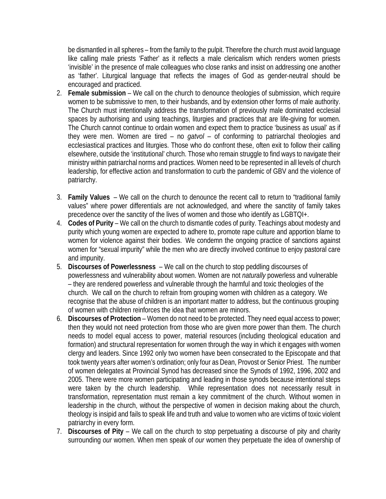be dismantled in all spheres – from the family to the pulpit. Therefore the church must avoid language like calling male priests 'Father' as it reflects a male clericalism which renders women priests 'invisible' in the presence of male colleagues who close ranks and insist on addressing one another as 'father'. Liturgical language that reflects the images of God as gender-neutral should be encouraged and practiced.

- 2. **Female submission** We call on the church to denounce theologies of submission, which require women to be submissive to men, to their husbands, and by extension other forms of male authority. The Church must intentionally address the transformation of previously male dominated ecclesial spaces by authorising and using teachings, liturgies and practices that are life-giving for women. The Church cannot continue to ordain women and expect them to practice 'business as usual' as if they were men. Women are tired – no *gatvol* – of conforming to patriarchal theologies and ecclesiastical practices and liturgies. Those who do confront these, often exit to follow their calling elsewhere, outside the 'institutional' church. Those who remain struggle to find ways to navigate their ministry within patriarchal norms and practices. Women need to be represented in all levels of church leadership, for effective action and transformation to curb the pandemic of GBV and the violence of patriarchy.
- 3. **Family Values** We call on the church to denounce the recent call to return to "traditional family values" where power differentials are not acknowledged, and where the sanctity of family takes precedence over the sanctity of the lives of women and those who identify as LGBTQI+.
- 4. **Codes of Purity** We call on the church to dismantle codes of purity. Teachings about modesty and purity which young women are expected to adhere to, promote rape culture and apportion blame to women for violence against their bodies. We condemn the ongoing practice of sanctions against women for "sexual impurity" while the men who are directly involved continue to enjoy pastoral care and impunity.
- 5. **Discourses of Powerlessness** We call on the church to stop peddling discourses of powerlessness and vulnerability about women. Women are not *naturally* powerless and vulnerable – they are rendered powerless and vulnerable through the harmful and toxic theologies of the church. We call on the church to refrain from grouping women with children as a category. We recognise that the abuse of children is an important matter to address, but the continuous grouping of women with children reinforces the idea that women are minors.
- 6. **Discourses of Protection** Women do not need to be protected. They need equal access to power; then they would not need protection from those who are given more power than them. The church needs to model equal access to power, material resources (including theological education and formation) and structural representation for women through the way in which it engages with women clergy and leaders. Since 1992 only two women have been consecrated to the Episcopate and that took twenty years after women's ordination; only four as Dean, Provost or Senior Priest. The number of women delegates at Provincial Synod has decreased since the Synods of 1992, 1996, 2002 and 2005. There were more women participating and leading in those synods because intentional steps were taken by the church leadership. While representation does not necessarily result in transformation, representation must remain a key commitment of the church. Without women in leadership in the church, without the perspective of women in decision making about the church, theology is insipid and fails to speak life and truth and value to women who are victims of toxic violent patriarchy in every form.
- 7. **Discourses of Pity** We call on the church to stop perpetuating a discourse of pity and charity surrounding *our* women. When men speak of *our* women they perpetuate the idea of ownership of